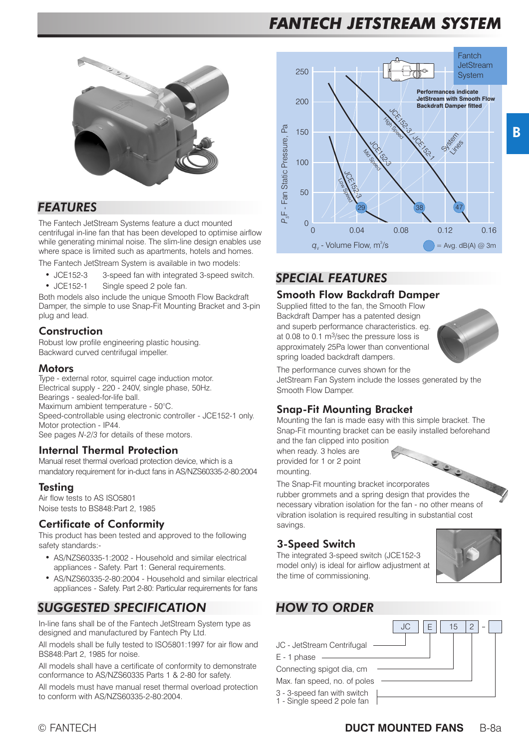# *FANTECH JETSTREAM SYSTEM*



### *FEATURES*

The Fantech JetStream Systems feature a duct mounted centrifugal in-line fan that has been developed to optimise airflow while generating minimal noise. The slim-line design enables use where space is limited such as apartments, hotels and homes.

The Fantech JetStream System is available in two models:

- $\bullet$  JCE152-3 3-speed fan with integrated 3-speed switch.
- JCE152-1 Single speed 2 pole fan.

Both models also include the unique Smooth Flow Backdraft Damper, the simple to use Snap-Fit Mounting Bracket and 3-pin plug and lead.

#### **Construction**

Robust low profile engineering plastic housing. Backward curved centrifugal impeller.

#### Motors

Type - external rotor, squirrel cage induction motor. Electrical supply - 220 - 240V, single phase, 50Hz. Bearings - sealed-for-life ball. Maximum ambient temperature - 50°C. Speed-controllable using electronic controller - JCE152-1 only. Motor protection - IP44. See pages *N-2/3* for details of these motors.

#### Internal Thermal Protection

Manual reset thermal overload protection device, which is a mandatory requirement for in-duct fans in AS/NZS60335-2-80:2004

#### **Testing**

Air flow tests to AS ISO5801 Noise tests to BS848:Part 2, 1985

#### Certificate of Conformity

This product has been tested and approved to the following safety standards:-

- AS/NZS60335-1:2002 Household and similar electrical appliances - Safety. Part 1: General requirements.
- O AS/NZS60335-2-80:2004 - Household and similar electrical appliances - Safety. Part 2-80: Particular requirements for fans

## *SUGGESTED SPECIFICATION*

In-line fans shall be of the Fantech JetStream System type as designed and manufactured by Fantech Pty Ltd.

All models shall be fully tested to ISO5801:1997 for air flow and BS848:Part 2, 1985 for noise.

All models shall have a certificate of conformity to demonstrate conformance to AS/NZS60335 Parts 1 & 2-80 for safety.

All models must have manual reset thermal overload protection to conform with AS/NZS60335-2-80:2004.



## *SPECIAL FEATURES*

#### Smooth Flow Backdraft Damper

Supplied fitted to the fan, the Smooth Flow Backdraft Damper has a patented design and superb performance characteristics. eg. at 0.08 to 0.1 m3/sec the pressure loss is approximately 25Pa lower than conventional spring loaded backdraft dampers.



The performance curves shown for the

JetStream Fan System include the losses generated by the Smooth Flow Damper.

#### Snap-Fit Mounting Bracket

Mounting the fan is made easy with this simple bracket. The Snap-Fit mounting bracket can be easily installed beforehand and the fan clipped into position

when ready. 3 holes are provided for 1 or 2 point mounting. when ready. U.<br>provided for 1 or 2 point<br>mounting.<br>The Snap-Fit mounting bracket incorporates

rubber grommets and a spring design that provides the

necessary vibration isolation for the fan - no other means of vibration isolation is required resulting in substantial cost savings.

#### 3-Speed Switch

The integrated 3-speed switch (JCE152-3 model only) is ideal for airflow adjustment at the time of commissioning.



 $JC - Je$ 

 $E - 1$  ph

Connect

Max. fa

 $3 - 3$ -sp

 $1 -$  Sing



|                                            | 15 |
|--------------------------------------------|----|
| Stream Centrifugal                         |    |
| iase                                       |    |
| ting spigot dia, cm                        |    |
| n speed, no. of poles                      |    |
| eed fan with switch<br>le speed 2 pole fan |    |